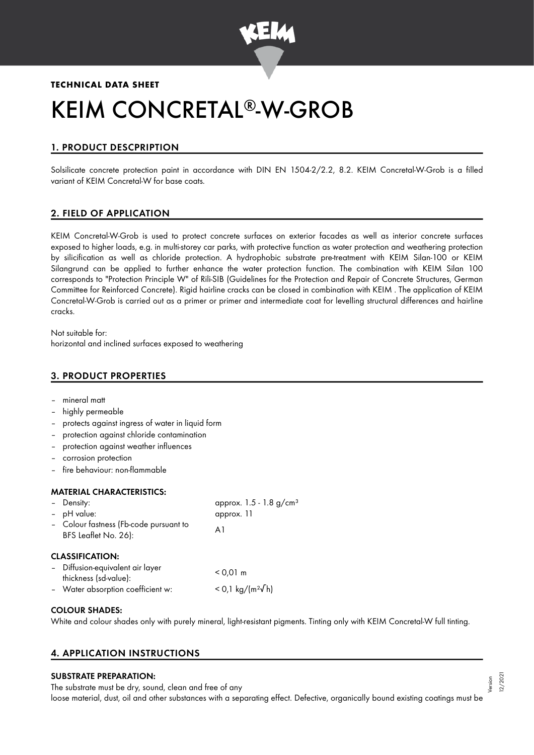

## **TECHNICAL DATA SHEET**

# KEIM CONCRETAL®-W-GROB

# 1. PRODUCT DESCPRIPTION

Solsilicate concrete protection paint in accordance with DIN EN 1504-2/2.2, 8.2. KEIM Concretal-W-Grob is a filled variant of KEIM Concretal-W for base coats.

## 2. FIELD OF APPLICATION

KEIM Concretal-W-Grob is used to protect concrete surfaces on exterior facades as well as interior concrete surfaces exposed to higher loads, e.g. in multi-storey car parks, with protective function as water protection and weathering protection by silicification as well as chloride protection. A hydrophobic substrate pre-treatment with KEIM Silan-100 or KEIM Silangrund can be applied to further enhance the water protection function. The combination with KEIM Silan 100 corresponds to "Protection Principle W" of Rili-SIB (Guidelines for the Protection and Repair of Concrete Structures, German Committee for Reinforced Concrete). Rigid hairline cracks can be closed in combination with KEIM . The application of KEIM Concretal-W-Grob is carried out as a primer or primer and intermediate coat for levelling structural differences and hairline cracks.

Not suitable for: horizontal and inclined surfaces exposed to weathering

## 3. PRODUCT PROPERTIES

- mineral matt
- highly permeable
- protects against ingress of water in liquid form
- protection against chloride contamination
- protection against weather influences
- corrosion protection
- fire behaviour: non-flammable

#### MATERIAL CHARACTERISTICS:

| - Density:                                                     | approx. $1.5 - 1.8$ g/cm <sup>3</sup> |
|----------------------------------------------------------------|---------------------------------------|
| - pH value:                                                    | approx. 11                            |
| - Colour fastness (Fb-code pursuant to<br>BFS Leaflet No. 26): | Αl                                    |
| <b>CLASSIFICATION:</b>                                         |                                       |
| - Diffusion-equivalent air layer<br>thickness (sd-value):      | $< 0.01 \text{ m}$                    |

| Water absorption coefficient w: |  | $<$ 0,1 kg/(m <sup>2</sup> √h) |  |
|---------------------------------|--|--------------------------------|--|
|                                 |  |                                |  |

### COLOUR SHADES:

White and colour shades only with purely mineral, light-resistant pigments. Tinting only with KEIM Concretal-W full tinting.

## 4. APPLICATION INSTRUCTIONS

#### SUBSTRATE PREPARATION:

The substrate must be dry, sound, clean and free of any loose material, dust, oil and other substances with a separating effect. Defective, organically bound existing coatings must be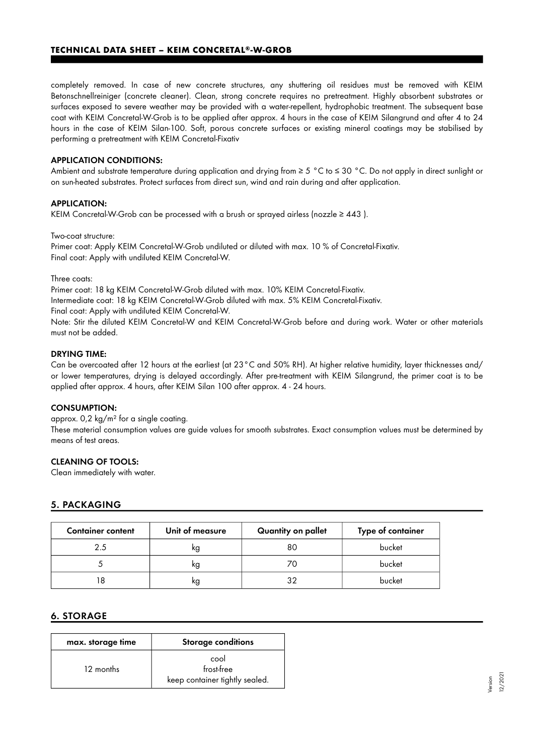completely removed. In case of new concrete structures, any shuttering oil residues must be removed with KEIM Betonschnellreiniger (concrete cleaner). Clean, strong concrete requires no pretreatment. Highly absorbent substrates or surfaces exposed to severe weather may be provided with a water-repellent, hydrophobic treatment. The subsequent base coat with KEIM Concretal-W-Grob is to be applied after approx. 4 hours in the case of KEIM Silangrund and after 4 to 24 hours in the case of KEIM Silan-100. Soft, porous concrete surfaces or existing mineral coatings may be stabilised by performing a pretreatment with KEIM Concretal-Fixativ

#### APPLICATION CONDITIONS:

Ambient and substrate temperature during application and drying from ≥ 5 °C to ≤ 30 °C. Do not apply in direct sunlight or on sun-heated substrates. Protect surfaces from direct sun, wind and rain during and after application.

#### APPLICATION:

KEIM Concretal-W-Grob can be processed with a brush or sprayed airless (nozzle  $\geq 443$ ).

#### Two-coat structure:

Primer coat: Apply KEIM Concretal-W-Grob undiluted or diluted with max. 10 % of Concretal-Fixativ. Final coat: Apply with undiluted KEIM Concretal-W.

Three coats:

Primer coat: 18 kg KEIM Concretal-W-Grob diluted with max. 10% KEIM Concretal-Fixativ.

Intermediate coat: 18 kg KEIM Concretal-W-Grob diluted with max. 5% KEIM Concretal-Fixativ.

Final coat: Apply with undiluted KEIM Concretal-W.

Note: Stir the diluted KEIM Concretal-W and KEIM Concretal-W-Grob before and during work. Water or other materials must not be added.

#### DRYING TIME:

Can be overcoated after 12 hours at the earliest (at 23°C and 50% RH). At higher relative humidity, layer thicknesses and/ or lower temperatures, drying is delayed accordingly. After pre-treatment with KEIM Silangrund, the primer coat is to be applied after approx. 4 hours, after KEIM Silan 100 after approx. 4 - 24 hours.

#### CONSUMPTION:

approx. 0,2 kg/m² for a single coating.

These material consumption values are guide values for smooth substrates. Exact consumption values must be determined by means of test areas.

#### CLEANING OF TOOLS:

Clean immediately with water.

#### 5. PACKAGING

| <b>Container content</b> | Unit of measure | Quantity on pallet | Type of container |
|--------------------------|-----------------|--------------------|-------------------|
| 2.5                      | kg              | 80                 | bucket            |
|                          | κg              |                    | bucket            |
|                          | κg              |                    | bucket            |

#### 6. STORAGE

| max. storage time | <b>Storage conditions</b>                            |
|-------------------|------------------------------------------------------|
| 12 months         | cool<br>frost-free<br>keep container tightly sealed. |